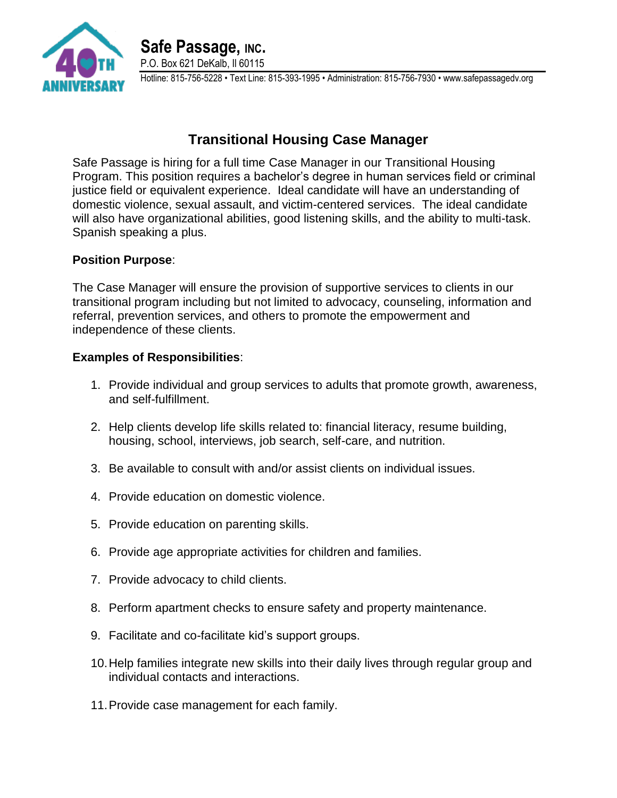

## **Transitional Housing Case Manager**

Safe Passage is hiring for a full time Case Manager in our Transitional Housing Program. This position requires a bachelor's degree in human services field or criminal justice field or equivalent experience. Ideal candidate will have an understanding of domestic violence, sexual assault, and victim-centered services. The ideal candidate will also have organizational abilities, good listening skills, and the ability to multi-task. Spanish speaking a plus.

## **Position Purpose**:

The Case Manager will ensure the provision of supportive services to clients in our transitional program including but not limited to advocacy, counseling, information and referral, prevention services, and others to promote the empowerment and independence of these clients.

## **Examples of Responsibilities**:

- 1. Provide individual and group services to adults that promote growth, awareness, and self-fulfillment.
- 2. Help clients develop life skills related to: financial literacy, resume building, housing, school, interviews, job search, self-care, and nutrition.
- 3. Be available to consult with and/or assist clients on individual issues.
- 4. Provide education on domestic violence.
- 5. Provide education on parenting skills.
- 6. Provide age appropriate activities for children and families.
- 7. Provide advocacy to child clients.
- 8. Perform apartment checks to ensure safety and property maintenance.
- 9. Facilitate and co-facilitate kid's support groups.
- 10.Help families integrate new skills into their daily lives through regular group and individual contacts and interactions.
- 11.Provide case management for each family.